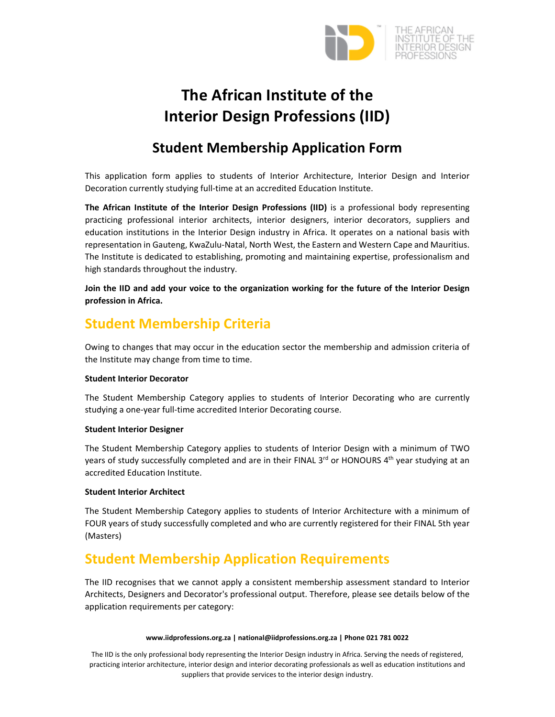

# **The African Institute of the Interior Design Professions (IID)**

### **Student Membership Application Form**

This application form applies to students of Interior Architecture, Interior Design and Interior Decoration currently studying full‐time at an accredited Education Institute.

**The African Institute of the Interior Design Professions (IID)** is a professional body representing practicing professional interior architects, interior designers, interior decorators, suppliers and education institutions in the Interior Design industry in Africa. It operates on a national basis with representation in Gauteng, KwaZulu‐Natal, North West, the Eastern and Western Cape and Mauritius. The Institute is dedicated to establishing, promoting and maintaining expertise, professionalism and high standards throughout the industry.

**Join the IID and add your voice to the organization working for the future of the Interior Design profession in Africa.**

### **Student Membership Criteria**

Owing to changes that may occur in the education sector the membership and admission criteria of the Institute may change from time to time.

#### **Student Interior Decorator**

The Student Membership Category applies to students of Interior Decorating who are currently studying a one‐year full‐time accredited Interior Decorating course.

#### **Student Interior Designer**

The Student Membership Category applies to students of Interior Design with a minimum of TWO years of study successfully completed and are in their FINAL 3<sup>rd</sup> or HONOURS 4<sup>th</sup> year studying at an accredited Education Institute.

#### **Student Interior Architect**

The Student Membership Category applies to students of Interior Architecture with a minimum of FOUR years of study successfully completed and who are currently registered for their FINAL 5th year (Masters)

### **Student Membership Application Requirements**

The IID recognises that we cannot apply a consistent membership assessment standard to Interior Architects, Designers and Decorator's professional output. Therefore, please see details below of the application requirements per category:

#### **www.iidprofessions.org.za | national@iidprofessions.org.za | Phone 021 781 0022**

The IID is the only professional body representing the Interior Design industry in Africa. Serving the needs of registered, practicing interior architecture, interior design and interior decorating professionals as well as education institutions and suppliers that provide services to the interior design industry.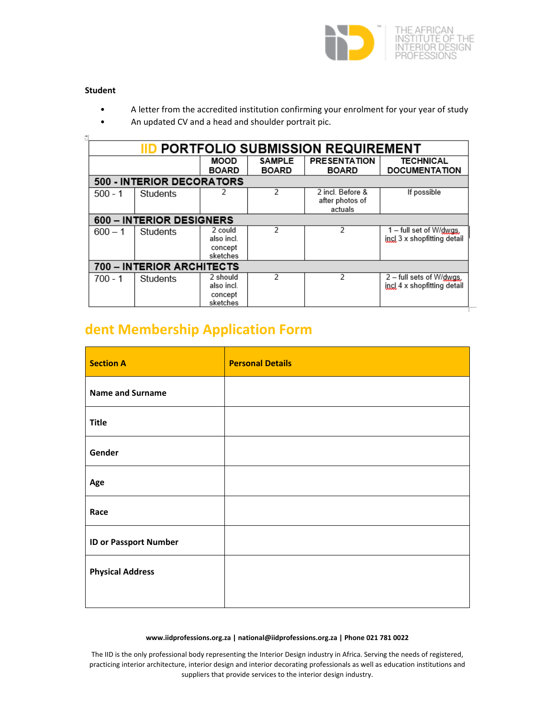

#### **Student**

- A letter from the accredited institution confirming your enrolment for your year of study
- An updated CV and a head and shoulder portrait pic.

| <b>PORTFOLIO SUBMISSION REQUIREMENT</b> |                           |                                               |                               |                                                |                                                              |  |  |  |
|-----------------------------------------|---------------------------|-----------------------------------------------|-------------------------------|------------------------------------------------|--------------------------------------------------------------|--|--|--|
|                                         |                           | MOOD<br><b>BOARD</b>                          | <b>SAMPLE</b><br><b>BOARD</b> | <b>PRESENTATION</b><br><b>BOARD</b>            | <b>TECHNICAL</b><br><b>DOCUMENTATION</b>                     |  |  |  |
| 500 - INTERIOR DECORATORS               |                           |                                               |                               |                                                |                                                              |  |  |  |
| $500 - 1$                               | Students                  |                                               | $\mathcal{P}$                 | 2 incl. Before &<br>after photos of<br>actuals | If possible                                                  |  |  |  |
|                                         | 600 - INTERIOR DESIGNERS  |                                               |                               |                                                |                                                              |  |  |  |
| $600 - 1$                               | Students                  | 2 could<br>also incl.<br>concept<br>sketches  | 2                             | 2                                              | $1 -$ full set of W/ $dy$ as.<br>incl 3 x shopfitting detail |  |  |  |
|                                         | 700 - INTERIOR ARCHITECTS |                                               |                               |                                                |                                                              |  |  |  |
| $700 - 1$                               | Students                  | 2 should<br>also incl.<br>concept<br>sketches | 2                             | 2                                              | 2 – full sets of W/dwgs.<br>incl 4 x shopfitting detail      |  |  |  |

## **dent Membership Application Form**

| <b>Section A</b>             | <b>Personal Details</b> |
|------------------------------|-------------------------|
| <b>Name and Surname</b>      |                         |
| <b>Title</b>                 |                         |
| Gender                       |                         |
| Age                          |                         |
| Race                         |                         |
| <b>ID or Passport Number</b> |                         |
| <b>Physical Address</b>      |                         |
|                              |                         |

#### **www.iidprofessions.org.za | national@iidprofessions.org.za | Phone 021 781 0022**

The IID is the only professional body representing the Interior Design industry in Africa. Serving the needs of registered, practicing interior architecture, interior design and interior decorating professionals as well as education institutions and suppliers that provide services to the interior design industry.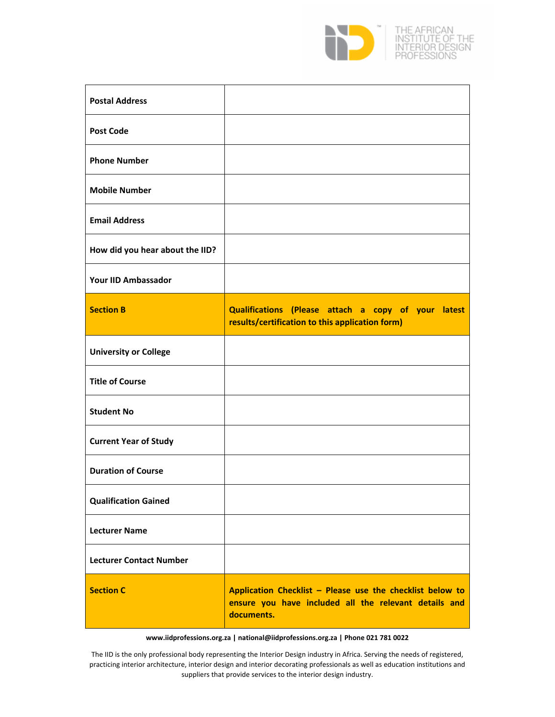

| <b>Postal Address</b>           |                                                                                                                                  |
|---------------------------------|----------------------------------------------------------------------------------------------------------------------------------|
| <b>Post Code</b>                |                                                                                                                                  |
| <b>Phone Number</b>             |                                                                                                                                  |
| <b>Mobile Number</b>            |                                                                                                                                  |
| <b>Email Address</b>            |                                                                                                                                  |
| How did you hear about the IID? |                                                                                                                                  |
| <b>Your IID Ambassador</b>      |                                                                                                                                  |
| <b>Section B</b>                | Qualifications (Please attach a copy of your latest<br>results/certification to this application form)                           |
| <b>University or College</b>    |                                                                                                                                  |
| <b>Title of Course</b>          |                                                                                                                                  |
| <b>Student No</b>               |                                                                                                                                  |
| <b>Current Year of Study</b>    |                                                                                                                                  |
| <b>Duration of Course</b>       |                                                                                                                                  |
| <b>Qualification Gained</b>     |                                                                                                                                  |
| <b>Lecturer Name</b>            |                                                                                                                                  |
| <b>Lecturer Contact Number</b>  |                                                                                                                                  |
| <b>Section C</b>                | Application Checklist - Please use the checklist below to<br>ensure you have included all the relevant details and<br>documents. |

**www.iidprofessions.org.za | national@iidprofessions.org.za | Phone 021 781 0022**

The IID is the only professional body representing the Interior Design industry in Africa. Serving the needs of registered, practicing interior architecture, interior design and interior decorating professionals as well as education institutions and suppliers that provide services to the interior design industry.